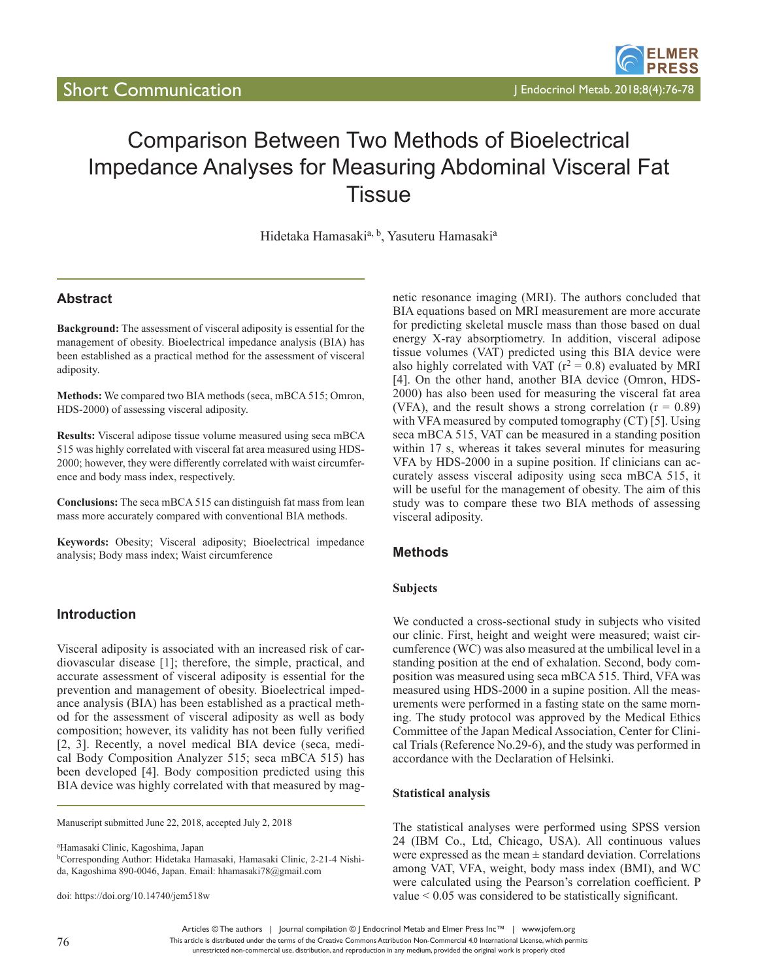# Comparison Between Two Methods of Bioelectrical Impedance Analyses for Measuring Abdominal Visceral Fat **Tissue**

Hidetaka Hamasaki<sup>a, b</sup>, Yasuteru Hamasaki<sup>a</sup>

# **Abstract**

**Background:** The assessment of visceral adiposity is essential for the management of obesity. Bioelectrical impedance analysis (BIA) has been established as a practical method for the assessment of visceral adiposity.

**Methods:** We compared two BIA methods (seca, mBCA 515; Omron, HDS-2000) of assessing visceral adiposity.

**Results:** Visceral adipose tissue volume measured using seca mBCA 515 was highly correlated with visceral fat area measured using HDS-2000; however, they were differently correlated with waist circumference and body mass index, respectively.

**Conclusions:** The seca mBCA 515 can distinguish fat mass from lean mass more accurately compared with conventional BIA methods.

**Keywords:** Obesity; Visceral adiposity; Bioelectrical impedance analysis; Body mass index; Waist circumference

## **Introduction**

Visceral adiposity is associated with an increased risk of cardiovascular disease [1]; therefore, the simple, practical, and accurate assessment of visceral adiposity is essential for the prevention and management of obesity. Bioelectrical impedance analysis (BIA) has been established as a practical method for the assessment of visceral adiposity as well as body composition; however, its validity has not been fully verified [2, 3]. Recently, a novel medical BIA device (seca, medical Body Composition Analyzer 515; seca mBCA 515) has been developed [4]. Body composition predicted using this BIA device was highly correlated with that measured by mag-

Manuscript submitted June 22, 2018, accepted July 2, 2018

a Hamasaki Clinic, Kagoshima, Japan bCorresponding Author: Hidetaka Hamasaki, Hamasaki Clinic, 2-21-4 Nishida, Kagoshima 890-0046, Japan. Email: hhamasaki78@gmail.com

doi: https://doi.org/10.14740/jem518w

netic resonance imaging (MRI). The authors concluded that BIA equations based on MRI measurement are more accurate for predicting skeletal muscle mass than those based on dual energy X-ray absorptiometry. In addition, visceral adipose tissue volumes (VAT) predicted using this BIA device were also highly correlated with VAT ( $r^2 = 0.8$ ) evaluated by MRI [4]. On the other hand, another BIA device (Omron, HDS-2000) has also been used for measuring the visceral fat area (VFA), and the result shows a strong correlation  $(r = 0.89)$ with VFA measured by computed tomography (CT) [5]. Using seca mBCA 515, VAT can be measured in a standing position within 17 s, whereas it takes several minutes for measuring VFA by HDS-2000 in a supine position. If clinicians can accurately assess visceral adiposity using seca mBCA 515, it will be useful for the management of obesity. The aim of this study was to compare these two BIA methods of assessing visceral adiposity.

## **Methods**

### **Subjects**

We conducted a cross-sectional study in subjects who visited our clinic. First, height and weight were measured; waist circumference (WC) was also measured at the umbilical level in a standing position at the end of exhalation. Second, body composition was measured using seca mBCA 515. Third, VFA was measured using HDS-2000 in a supine position. All the measurements were performed in a fasting state on the same morning. The study protocol was approved by the Medical Ethics Committee of the Japan Medical Association, Center for Clinical Trials (Reference No.29-6), and the study was performed in accordance with the Declaration of Helsinki.

#### **Statistical analysis**

The statistical analyses were performed using SPSS version 24 (IBM Co., Ltd, Chicago, USA). All continuous values were expressed as the mean  $\pm$  standard deviation. Correlations among VAT, VFA, weight, body mass index (BMI), and WC were calculated using the Pearson's correlation coefficient. P value < 0.05 was considered to be statistically significant.

Articles © The authors | Journal compilation © J Endocrinol Metab and Elmer Press Inc™ | www.jofem.org

This article is distributed under the terms of the Creative Commons Attribution Non-Commercial 4.0 International License, which permits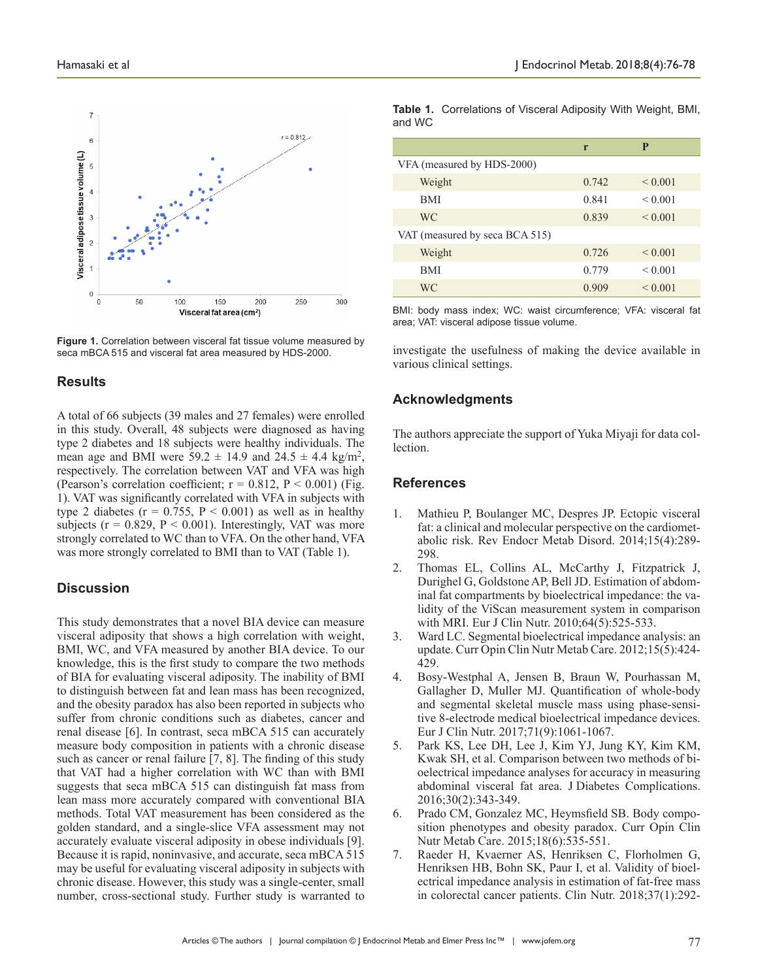



## **Results**

A total of 66 subjects (39 males and 27 females) were enrolled in this study. Overall, 48 subjects were diagnosed as having type 2 diabetes and 18 subjects were healthy individuals. The mean age and BMI were  $59.2 \pm 14.9$  and  $24.5 \pm 4.4$  kg/m<sup>2</sup>, respectively. The correlation between VAT and VFA was high (Pearson's correlation coefficient;  $r = 0.812$ ,  $P < 0.001$ ) (Fig. 1). VAT was significantly correlated with VFA in subjects with type 2 diabetes ( $r = 0.755$ ,  $P < 0.001$ ) as well as in healthy subjects ( $r = 0.829$ ,  $P < 0.001$ ). Interestingly, VAT was more strongly correlated to WC than to VFA. On the other hand, VFA was more strongly correlated to BMI than to VAT (Table 1).

## **Discussion**

This study demonstrates that a novel BIA device can measure visceral adiposity that shows a high correlation with weight, BMI, WC, and VFA measured by another BIA device. To our knowledge, this is the first study to compare the two methods of BIA for evaluating visceral adiposity. The inability of BMI to distinguish between fat and lean mass has been recognized, and the obesity paradox has also been reported in subjects who suffer from chronic conditions such as diabetes, cancer and renal disease [6]. In contrast, seca mBCA 515 can accurately measure body composition in patients with a chronic disease such as cancer or renal failure [7, 8]. The finding of this study that VAT had a higher correlation with WC than with BMI suggests that seca mBCA 515 can distinguish fat mass from lean mass more accurately compared with conventional BIA methods. Total VAT measurement has been considered as the golden standard, and a single-slice VFA assessment may not accurately evaluate visceral adiposity in obese individuals [9]. Because it is rapid, noninvasive, and accurate, seca mBCA 515 may be useful for evaluating visceral adiposity in subjects with chronic disease. However, this study was a single-center, small number, cross-sectional study. Further study is warranted to

|          | <b>Table 1.</b> Correlations of Visceral Adiposity With Weight, BMI, |  |
|----------|----------------------------------------------------------------------|--|
| and WC . |                                                                      |  |

|                                | r     | P            |  |
|--------------------------------|-------|--------------|--|
| VFA (measured by HDS-2000)     |       |              |  |
| Weight                         | 0.742 | ${}_{0.001}$ |  |
| <b>BMI</b>                     | 0.841 | ${}_{0.001}$ |  |
| <b>WC</b>                      | 0.839 | ${}_{0.001}$ |  |
| VAT (measured by seca BCA 515) |       |              |  |
| Weight                         | 0.726 | ${}_{0.001}$ |  |
| <b>BMI</b>                     | 0.779 | ${}_{0.001}$ |  |
| WC                             | 0.909 | ${}_{0.001}$ |  |

BMI: body mass index; WC: waist circumference; VFA: visceral fat area; VAT: visceral adipose tissue volume.

investigate the usefulness of making the device available in various clinical settings.

## **Acknowledgments**

The authors appreciate the support of Yuka Miyaji for data collection.

## **References**

- 1. Mathieu P, Boulanger MC, Despres JP. Ectopic visceral fat: a clinical and molecular perspective on the cardiometabolic risk. Rev Endocr Metab Disord. 2014;15(4):289- 298.
- 2. Thomas EL, Collins AL, McCarthy J, Fitzpatrick J, Durighel G, Goldstone AP, Bell JD. Estimation of abdominal fat compartments by bioelectrical impedance: the validity of the ViScan measurement system in comparison with MRI. Eur J Clin Nutr. 2010;64(5):525-533.
- 3. Ward LC. Segmental bioelectrical impedance analysis: an update. Curr Opin Clin Nutr Metab Care. 2012;15(5):424- 429.
- 4. Bosy-Westphal A, Jensen B, Braun W, Pourhassan M, Gallagher D, Muller MJ. Quantification of whole-body and segmental skeletal muscle mass using phase-sensitive 8-electrode medical bioelectrical impedance devices. Eur J Clin Nutr. 2017;71(9):1061-1067.
- 5. Park KS, Lee DH, Lee J, Kim YJ, Jung KY, Kim KM, Kwak SH, et al. Comparison between two methods of bioelectrical impedance analyses for accuracy in measuring abdominal visceral fat area. J Diabetes Complications. 2016;30(2):343-349.
- 6. Prado CM, Gonzalez MC, Heymsfield SB. Body composition phenotypes and obesity paradox. Curr Opin Clin Nutr Metab Care. 2015;18(6):535-551.
- 7. Raeder H, Kvaerner AS, Henriksen C, Florholmen G, Henriksen HB, Bohn SK, Paur I, et al. Validity of bioelectrical impedance analysis in estimation of fat-free mass in colorectal cancer patients. Clin Nutr. 2018;37(1):292-